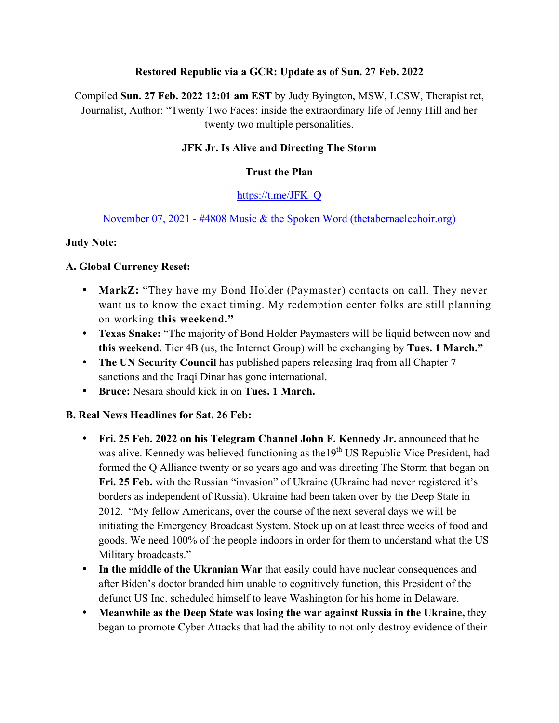#### **Restored Republic via a GCR: Update as of Sun. 27 Feb. 2022**

Compiled **Sun. 27 Feb. 2022 12:01 am EST** by Judy Byington, MSW, LCSW, Therapist ret, Journalist, Author: "Twenty Two Faces: inside the extraordinary life of Jenny Hill and her twenty two multiple personalities.

## **JFK Jr. Is Alive and Directing The Storm**

#### **Trust the Plan**

## https://t.me/JFK\_Q

#### November 07, 2021 - #4808 Music & the Spoken Word (thetabernaclechoir.org)

#### **Judy Note:**

#### **A. Global Currency Reset:**

- **MarkZ:** "They have my Bond Holder (Paymaster) contacts on call. They never want us to know the exact timing. My redemption center folks are still planning on working **this weekend."**
- **Texas Snake:** "The majority of Bond Holder Paymasters will be liquid between now and **this weekend.** Tier 4B (us, the Internet Group) will be exchanging by **Tues. 1 March."**
- **The UN Security Council** has published papers releasing Iraq from all Chapter 7 sanctions and the Iraqi Dinar has gone international.
- **Bruce:** Nesara should kick in on **Tues. 1 March.**

## **B. Real News Headlines for Sat. 26 Feb:**

- **Fri. 25 Feb. 2022 on his Telegram Channel John F. Kennedy Jr.** announced that he was alive. Kennedy was believed functioning as the 19<sup>th</sup> US Republic Vice President, had formed the Q Alliance twenty or so years ago and was directing The Storm that began on **Fri. 25 Feb.** with the Russian "invasion" of Ukraine (Ukraine had never registered it's borders as independent of Russia). Ukraine had been taken over by the Deep State in 2012. "My fellow Americans, over the course of the next several days we will be initiating the Emergency Broadcast System. Stock up on at least three weeks of food and goods. We need 100% of the people indoors in order for them to understand what the US Military broadcasts."
- **In the middle of the Ukranian War** that easily could have nuclear consequences and after Biden's doctor branded him unable to cognitively function, this President of the defunct US Inc. scheduled himself to leave Washington for his home in Delaware.
- **Meanwhile as the Deep State was losing the war against Russia in the Ukraine,** they began to promote Cyber Attacks that had the ability to not only destroy evidence of their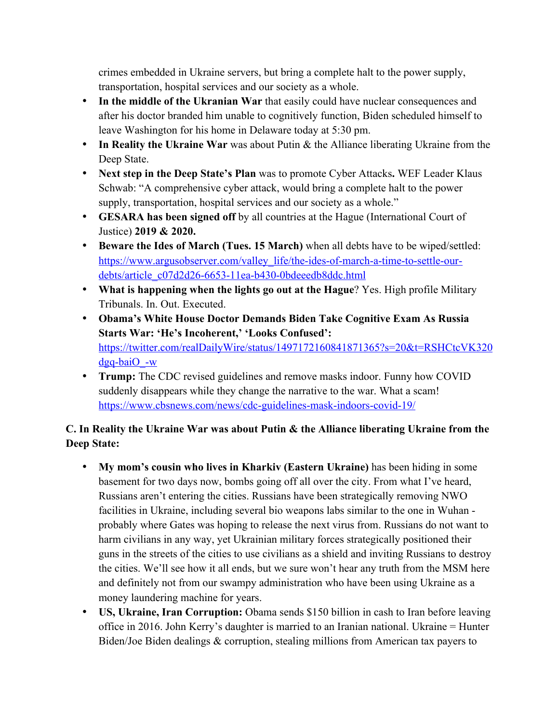crimes embedded in Ukraine servers, but bring a complete halt to the power supply, transportation, hospital services and our society as a whole.

- **In the middle of the Ukranian War** that easily could have nuclear consequences and after his doctor branded him unable to cognitively function, Biden scheduled himself to leave Washington for his home in Delaware today at 5:30 pm.
- **In Reality the Ukraine War** was about Putin & the Alliance liberating Ukraine from the Deep State.
- **Next step in the Deep State's Plan** was to promote Cyber Attacks**.** WEF Leader Klaus Schwab: "A comprehensive cyber attack, would bring a complete halt to the power supply, transportation, hospital services and our society as a whole."
- **GESARA has been signed off** by all countries at the Hague (International Court of Justice) **2019 & 2020.**
- **Beware the Ides of March (Tues. 15 March)** when all debts have to be wiped/settled: https://www.argusobserver.com/valley\_life/the-ides-of-march-a-time-to-settle-ourdebts/article\_c07d2d26-6653-11ea-b430-0bdeeedb8ddc.html
- **What is happening when the lights go out at the Hague**? Yes. High profile Military Tribunals. In. Out. Executed.
- **Obama's White House Doctor Demands Biden Take Cognitive Exam As Russia Starts War: 'He's Incoherent,' 'Looks Confused':**  https://twitter.com/realDailyWire/status/1497172160841871365?s=20&t=RSHCtcVK320  $d$ gq-baiO -w
- **Trump:** The CDC revised guidelines and remove masks indoor. Funny how COVID suddenly disappears while they change the narrative to the war. What a scam! https://www.cbsnews.com/news/cdc-guidelines-mask-indoors-covid-19/

# **C. In Reality the Ukraine War was about Putin & the Alliance liberating Ukraine from the Deep State:**

- **My mom's cousin who lives in Kharkiv (Eastern Ukraine)** has been hiding in some basement for two days now, bombs going off all over the city. From what I've heard, Russians aren't entering the cities. Russians have been strategically removing NWO facilities in Ukraine, including several bio weapons labs similar to the one in Wuhan probably where Gates was hoping to release the next virus from. Russians do not want to harm civilians in any way, yet Ukrainian military forces strategically positioned their guns in the streets of the cities to use civilians as a shield and inviting Russians to destroy the cities. We'll see how it all ends, but we sure won't hear any truth from the MSM here and definitely not from our swampy administration who have been using Ukraine as a money laundering machine for years.
- **US, Ukraine, Iran Corruption:** Obama sends \$150 billion in cash to Iran before leaving office in 2016. John Kerry's daughter is married to an Iranian national. Ukraine = Hunter Biden/Joe Biden dealings & corruption, stealing millions from American tax payers to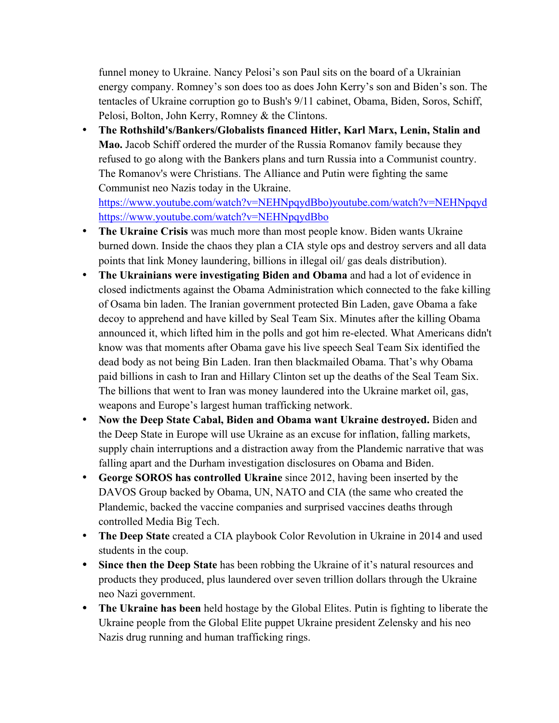funnel money to Ukraine. Nancy Pelosi's son Paul sits on the board of a Ukrainian energy company. Romney's son does too as does John Kerry's son and Biden's son. The tentacles of Ukraine corruption go to Bush's 9/11 cabinet, Obama, Biden, Soros, Schiff, Pelosi, Bolton, John Kerry, Romney & the Clintons.

• **The Rothshild's/Bankers/Globalists financed Hitler, Karl Marx, Lenin, Stalin and Mao.** Jacob Schiff ordered the murder of the Russia Romanov family because they refused to go along with the Bankers plans and turn Russia into a Communist country. The Romanov's were Christians. The Alliance and Putin were fighting the same Communist neo Nazis today in the Ukraine.

https://www.youtube.com/watch?v=NEHNpqydBbo)youtube.com/watch?v=NEHNpqyd https://www.youtube.com/watch?v=NEHNpqydBbo

- **The Ukraine Crisis** was much more than most people know. Biden wants Ukraine burned down. Inside the chaos they plan a CIA style ops and destroy servers and all data points that link Money laundering, billions in illegal oil/ gas deals distribution).
- **The Ukrainians were investigating Biden and Obama** and had a lot of evidence in closed indictments against the Obama Administration which connected to the fake killing of Osama bin laden. The Iranian government protected Bin Laden, gave Obama a fake decoy to apprehend and have killed by Seal Team Six. Minutes after the killing Obama announced it, which lifted him in the polls and got him re-elected. What Americans didn't know was that moments after Obama gave his live speech Seal Team Six identified the dead body as not being Bin Laden. Iran then blackmailed Obama. That's why Obama paid billions in cash to Iran and Hillary Clinton set up the deaths of the Seal Team Six. The billions that went to Iran was money laundered into the Ukraine market oil, gas, weapons and Europe's largest human trafficking network.
- **Now the Deep State Cabal, Biden and Obama want Ukraine destroyed.** Biden and the Deep State in Europe will use Ukraine as an excuse for inflation, falling markets, supply chain interruptions and a distraction away from the Plandemic narrative that was falling apart and the Durham investigation disclosures on Obama and Biden.
- **George SOROS has controlled Ukraine** since 2012, having been inserted by the DAVOS Group backed by Obama, UN, NATO and CIA (the same who created the Plandemic, backed the vaccine companies and surprised vaccines deaths through controlled Media Big Tech.
- **The Deep State** created a CIA playbook Color Revolution in Ukraine in 2014 and used students in the coup.
- **Since then the Deep State** has been robbing the Ukraine of it's natural resources and products they produced, plus laundered over seven trillion dollars through the Ukraine neo Nazi government.
- **The Ukraine has been** held hostage by the Global Elites. Putin is fighting to liberate the Ukraine people from the Global Elite puppet Ukraine president Zelensky and his neo Nazis drug running and human trafficking rings.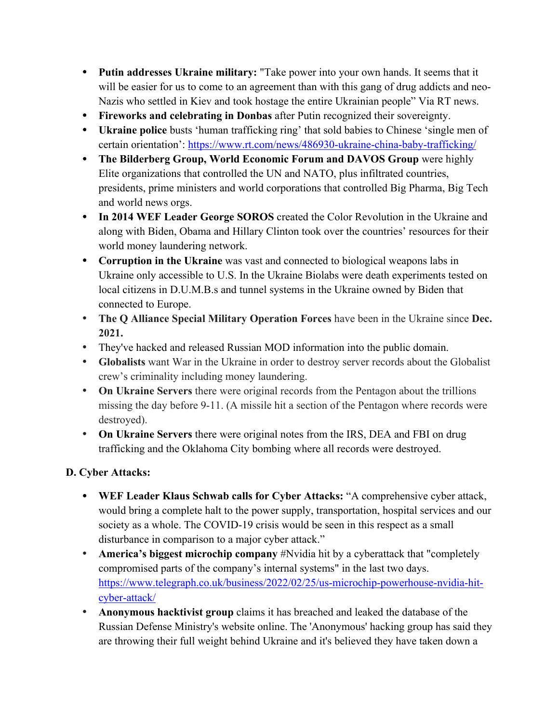- **Putin addresses Ukraine military:** "Take power into your own hands. It seems that it will be easier for us to come to an agreement than with this gang of drug addicts and neo-Nazis who settled in Kiev and took hostage the entire Ukrainian people" Via RT news.
- **Fireworks and celebrating in Donbas** after Putin recognized their sovereignty.
- **Ukraine police** busts 'human trafficking ring' that sold babies to Chinese 'single men of certain orientation': https://www.rt.com/news/486930-ukraine-china-baby-trafficking/
- **The Bilderberg Group, World Economic Forum and DAVOS Group** were highly Elite organizations that controlled the UN and NATO, plus infiltrated countries, presidents, prime ministers and world corporations that controlled Big Pharma, Big Tech and world news orgs.
- **In 2014 WEF Leader George SOROS** created the Color Revolution in the Ukraine and along with Biden, Obama and Hillary Clinton took over the countries' resources for their world money laundering network.
- **Corruption in the Ukraine** was vast and connected to biological weapons labs in Ukraine only accessible to U.S. In the Ukraine Biolabs were death experiments tested on local citizens in D.U.M.B.s and tunnel systems in the Ukraine owned by Biden that connected to Europe.
- **The Q Alliance Special Military Operation Forces** have been in the Ukraine since **Dec. 2021.**
- They've hacked and released Russian MOD information into the public domain.
- **Globalists** want War in the Ukraine in order to destroy server records about the Globalist crew's criminality including money laundering.
- **On Ukraine Servers** there were original records from the Pentagon about the trillions missing the day before 9-11. (A missile hit a section of the Pentagon where records were destroyed).
- **On Ukraine Servers** there were original notes from the IRS, DEA and FBI on drug trafficking and the Oklahoma City bombing where all records were destroyed.

## **D. Cyber Attacks:**

- **WEF Leader Klaus Schwab calls for Cyber Attacks:** "A comprehensive cyber attack, would bring a complete halt to the power supply, transportation, hospital services and our society as a whole. The COVID-19 crisis would be seen in this respect as a small disturbance in comparison to a major cyber attack."
- **America's biggest microchip company** #Nvidia hit by a cyberattack that "completely compromised parts of the company's internal systems" in the last two days. https://www.telegraph.co.uk/business/2022/02/25/us-microchip-powerhouse-nvidia-hitcyber-attack/
- **Anonymous hacktivist group** claims it has breached and leaked the database of the Russian Defense Ministry's website online. The 'Anonymous' hacking group has said they are throwing their full weight behind Ukraine and it's believed they have taken down a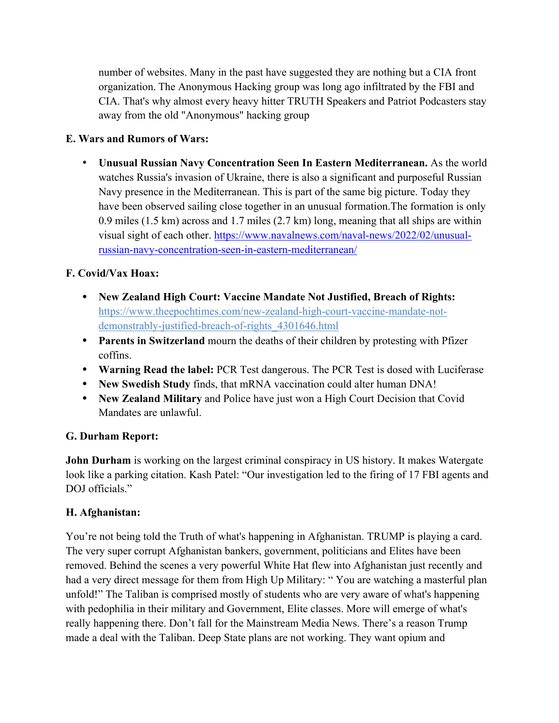number of websites. Many in the past have suggested they are nothing but a CIA front organization. The Anonymous Hacking group was long ago infiltrated by the FBI and CIA. That's why almost every heavy hitter TRUTH Speakers and Patriot Podcasters stay away from the old "Anonymous" hacking group

# **E. Wars and Rumors of Wars:**

• **Unusual Russian Navy Concentration Seen In Eastern Mediterranean.** As the world watches Russia's invasion of Ukraine, there is also a significant and purposeful Russian Navy presence in the Mediterranean. This is part of the same big picture. Today they have been observed sailing close together in an unusual formation.The formation is only 0.9 miles (1.5 km) across and 1.7 miles (2.7 km) long, meaning that all ships are within visual sight of each other. https://www.navalnews.com/naval-news/2022/02/unusualrussian-navy-concentration-seen-in-eastern-mediterranean/

# **F. Covid/Vax Hoax:**

- **New Zealand High Court: Vaccine Mandate Not Justified, Breach of Rights:**  https://www.theepochtimes.com/new-zealand-high-court-vaccine-mandate-notdemonstrably-justified-breach-of-rights\_4301646.html
- **Parents in Switzerland** mourn the deaths of their children by protesting with Pfizer coffins.
- **Warning Read the label:** PCR Test dangerous. The PCR Test is dosed with Luciferase
- **New Swedish Study** finds, that mRNA vaccination could alter human DNA!
- **New Zealand Military** and Police have just won a High Court Decision that Covid Mandates are unlawful.

## **G. Durham Report:**

**John Durham** is working on the largest criminal conspiracy in US history. It makes Watergate look like a parking citation. Kash Patel: "Our investigation led to the firing of 17 FBI agents and DOJ officials."

# **H. Afghanistan:**

You're not being told the Truth of what's happening in Afghanistan. TRUMP is playing a card. The very super corrupt Afghanistan bankers, government, politicians and Elites have been removed. Behind the scenes a very powerful White Hat flew into Afghanistan just recently and had a very direct message for them from High Up Military: " You are watching a masterful plan unfold!" The Taliban is comprised mostly of students who are very aware of what's happening with pedophilia in their military and Government, Elite classes. More will emerge of what's really happening there. Don't fall for the Mainstream Media News. There's a reason Trump made a deal with the Taliban. Deep State plans are not working. They want opium and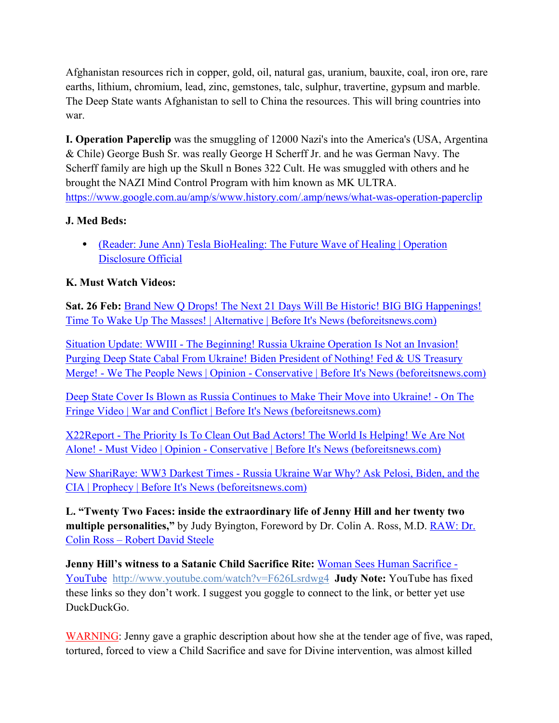Afghanistan resources rich in copper, gold, oil, natural gas, uranium, bauxite, coal, iron ore, rare earths, lithium, chromium, lead, zinc, gemstones, talc, sulphur, travertine, gypsum and marble. The Deep State wants Afghanistan to sell to China the resources. This will bring countries into war.

**I. Operation Paperclip** was the smuggling of 12000 Nazi's into the America's (USA, Argentina & Chile) George Bush Sr. was really George H Scherff Jr. and he was German Navy. The Scherff family are high up the Skull n Bones 322 Cult. He was smuggled with others and he brought the NAZI Mind Control Program with him known as MK ULTRA. https://www.google.com.au/amp/s/www.history.com/.amp/news/what-was-operation-paperclip

# **J. Med Beds:**

• (Reader: June Ann) Tesla BioHealing: The Future Wave of Healing | Operation Disclosure Official

# **K. Must Watch Videos:**

**Sat. 26 Feb:** Brand New Q Drops! The Next 21 Days Will Be Historic! BIG BIG Happenings! Time To Wake Up The Masses! | Alternative | Before It's News (beforeitsnews.com)

Situation Update: WWIII - The Beginning! Russia Ukraine Operation Is Not an Invasion! Purging Deep State Cabal From Ukraine! Biden President of Nothing! Fed & US Treasury Merge! - We The People News | Opinion - Conservative | Before It's News (beforeitsnews.com)

Deep State Cover Is Blown as Russia Continues to Make Their Move into Ukraine! - On The Fringe Video | War and Conflict | Before It's News (beforeitsnews.com)

X22Report - The Priority Is To Clean Out Bad Actors! The World Is Helping! We Are Not Alone! - Must Video | Opinion - Conservative | Before It's News (beforeitsnews.com)

New ShariRaye: WW3 Darkest Times - Russia Ukraine War Why? Ask Pelosi, Biden, and the CIA | Prophecy | Before It's News (beforeitsnews.com)

**L. "Twenty Two Faces: inside the extraordinary life of Jenny Hill and her twenty two multiple personalities,"** by Judy Byington, Foreword by Dr. Colin A. Ross, M.D. RAW: Dr. Colin Ross – Robert David Steele

**Jenny Hill's witness to a Satanic Child Sacrifice Rite:** Woman Sees Human Sacrifice - YouTube http://www.youtube.com/watch?v=F626Lsrdwg4 **Judy Note:** YouTube has fixed these links so they don't work. I suggest you goggle to connect to the link, or better yet use DuckDuckGo.

WARNING: Jenny gave a graphic description about how she at the tender age of five, was raped, tortured, forced to view a Child Sacrifice and save for Divine intervention, was almost killed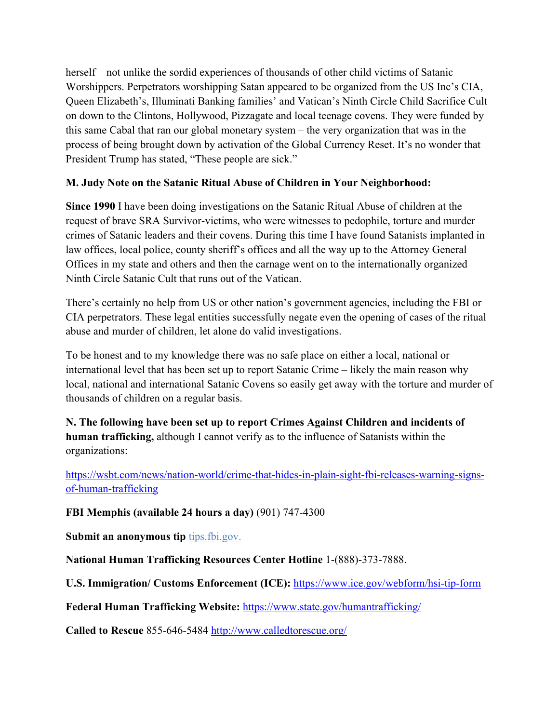herself – not unlike the sordid experiences of thousands of other child victims of Satanic Worshippers. Perpetrators worshipping Satan appeared to be organized from the US Inc's CIA, Queen Elizabeth's, Illuminati Banking families' and Vatican's Ninth Circle Child Sacrifice Cult on down to the Clintons, Hollywood, Pizzagate and local teenage covens. They were funded by this same Cabal that ran our global monetary system – the very organization that was in the process of being brought down by activation of the Global Currency Reset. It's no wonder that President Trump has stated, "These people are sick."

#### **M. Judy Note on the Satanic Ritual Abuse of Children in Your Neighborhood:**

**Since 1990** I have been doing investigations on the Satanic Ritual Abuse of children at the request of brave SRA Survivor-victims, who were witnesses to pedophile, torture and murder crimes of Satanic leaders and their covens. During this time I have found Satanists implanted in law offices, local police, county sheriff's offices and all the way up to the Attorney General Offices in my state and others and then the carnage went on to the internationally organized Ninth Circle Satanic Cult that runs out of the Vatican.

There's certainly no help from US or other nation's government agencies, including the FBI or CIA perpetrators. These legal entities successfully negate even the opening of cases of the ritual abuse and murder of children, let alone do valid investigations.

To be honest and to my knowledge there was no safe place on either a local, national or international level that has been set up to report Satanic Crime – likely the main reason why local, national and international Satanic Covens so easily get away with the torture and murder of thousands of children on a regular basis.

**N. The following have been set up to report Crimes Against Children and incidents of human trafficking,** although I cannot verify as to the influence of Satanists within the organizations:

https://wsbt.com/news/nation-world/crime-that-hides-in-plain-sight-fbi-releases-warning-signsof-human-trafficking

**FBI Memphis (available 24 hours a day)** (901) 747-4300

**Submit an anonymous tip tips.fbi.gov.** 

**National Human Trafficking Resources Center Hotline** 1-(888)-373-7888.

**U.S. Immigration/ Customs Enforcement (ICE):** https://www.ice.gov/webform/hsi-tip-form

**Federal Human Trafficking Website:** https://www.state.gov/humantrafficking/

**Called to Rescue** 855-646-5484 http://www.calledtorescue.org/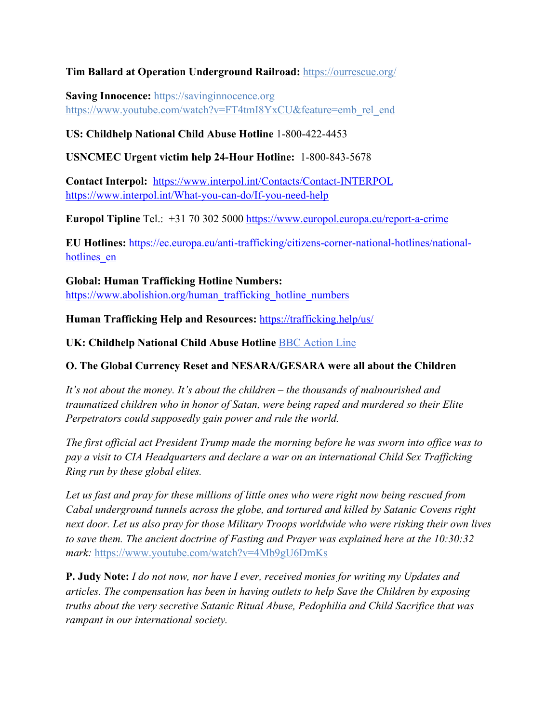#### **Tim Ballard at Operation Underground Railroad:** https://ourrescue.org/

**Saving Innocence:** https://savinginnocence.org https://www.youtube.com/watch?v=FT4tmI8YxCU&feature=emb\_rel\_end

**US: Childhelp National Child Abuse Hotline** 1-800-422-4453

**USNCMEC Urgent victim help 24-Hour Hotline:** 1-800-843-5678

**Contact Interpol:** https://www.interpol.int/Contacts/Contact-INTERPOL https://www.interpol.int/What-you-can-do/If-you-need-help

**Europol Tipline** Tel.: +31 70 302 5000 https://www.europol.europa.eu/report-a-crime

**EU Hotlines:** https://ec.europa.eu/anti-trafficking/citizens-corner-national-hotlines/nationalhotlines en

**Global: Human Trafficking Hotline Numbers:** https://www.abolishion.org/human\_trafficking\_hotline\_numbers

**Human Trafficking Help and Resources:** https://trafficking.help/us/

**UK: Childhelp National Child Abuse Hotline** BBC Action Line

#### **O. The Global Currency Reset and NESARA/GESARA were all about the Children**

*It's not about the money. It's about the children – the thousands of malnourished and traumatized children who in honor of Satan, were being raped and murdered so their Elite Perpetrators could supposedly gain power and rule the world.* 

*The first official act President Trump made the morning before he was sworn into office was to pay a visit to CIA Headquarters and declare a war on an international Child Sex Trafficking Ring run by these global elites.* 

*Let us fast and pray for these millions of little ones who were right now being rescued from Cabal underground tunnels across the globe, and tortured and killed by Satanic Covens right next door. Let us also pray for those Military Troops worldwide who were risking their own lives to save them. The ancient doctrine of Fasting and Prayer was explained here at the 10:30:32 mark:* https://www.youtube.com/watch?v=4Mb9gU6DmKs

**P. Judy Note:** *I do not now, nor have I ever, received monies for writing my Updates and articles. The compensation has been in having outlets to help Save the Children by exposing truths about the very secretive Satanic Ritual Abuse, Pedophilia and Child Sacrifice that was rampant in our international society.*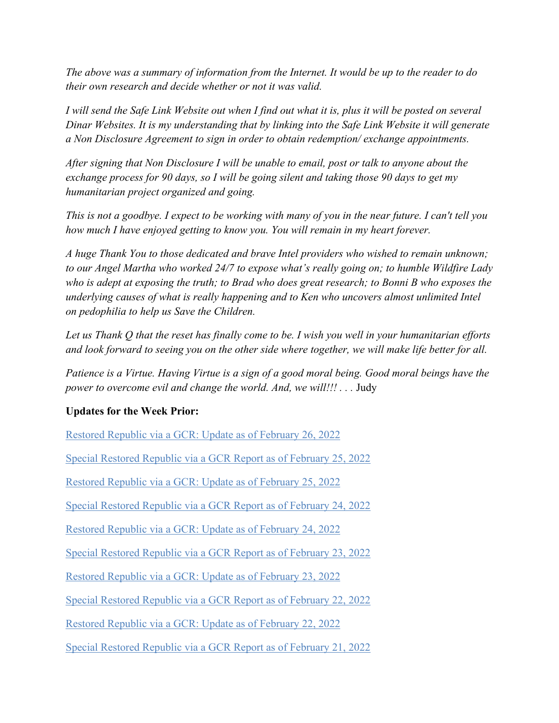*The above was a summary of information from the Internet. It would be up to the reader to do their own research and decide whether or not it was valid.*

*I will send the Safe Link Website out when I find out what it is, plus it will be posted on several Dinar Websites. It is my understanding that by linking into the Safe Link Website it will generate a Non Disclosure Agreement to sign in order to obtain redemption/ exchange appointments.*

*After signing that Non Disclosure I will be unable to email, post or talk to anyone about the exchange process for 90 days, so I will be going silent and taking those 90 days to get my humanitarian project organized and going.*

*This is not a goodbye. I expect to be working with many of you in the near future. I can't tell you how much I have enjoyed getting to know you. You will remain in my heart forever.*

*A huge Thank You to those dedicated and brave Intel providers who wished to remain unknown; to our Angel Martha who worked 24/7 to expose what's really going on; to humble Wildfire Lady who is adept at exposing the truth; to Brad who does great research; to Bonni B who exposes the underlying causes of what is really happening and to Ken who uncovers almost unlimited Intel on pedophilia to help us Save the Children.*

*Let us Thank Q that the reset has finally come to be. I wish you well in your humanitarian efforts and look forward to seeing you on the other side where together, we will make life better for all.*

*Patience is a Virtue. Having Virtue is a sign of a good moral being. Good moral beings have the power to overcome evil and change the world. And, we will!!!...* Judy

## **Updates for the Week Prior:**

Restored Republic via a GCR: Update as of February 26, 2022

Special Restored Republic via a GCR Report as of February 25, 2022

Restored Republic via a GCR: Update as of February 25, 2022

Special Restored Republic via a GCR Report as of February 24, 2022

Restored Republic via a GCR: Update as of February 24, 2022

Special Restored Republic via a GCR Report as of February 23, 2022

Restored Republic via a GCR: Update as of February 23, 2022

Special Restored Republic via a GCR Report as of February 22, 2022

Restored Republic via a GCR: Update as of February 22, 2022

Special Restored Republic via a GCR Report as of February 21, 2022